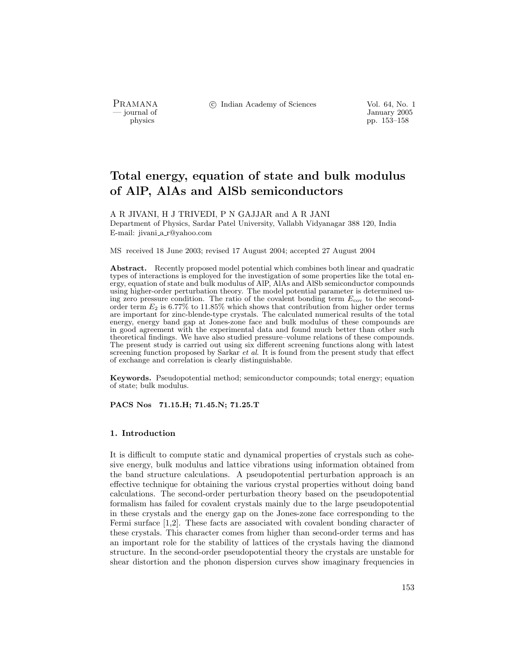PRAMANA °<sup>c</sup> Indian Academy of Sciences Vol. 64, No. 1

January 2005<br>
physics<br>
pp. 153–158<br>
pp. 153–158 pp. 153–158

# Total energy, equation of state and bulk modulus of AlP, AlAs and AlSb semiconductors

A R JIVANI, H J TRIVEDI, P N GAJJAR and A R JANI Department of Physics, Sardar Patel University, Vallabh Vidyanagar 388 120, India E-mail: jivani a r@yahoo.com

MS received 18 June 2003; revised 17 August 2004; accepted 27 August 2004

Abstract. Recently proposed model potential which combines both linear and quadratic types of interactions is employed for the investigation of some properties like the total energy, equation of state and bulk modulus of AlP, AlAs and AlSb semiconductor compounds using higher-order perturbation theory. The model potential parameter is determined using zero pressure condition. The ratio of the covalent bonding term  $E_{\text{cov}}$  to the secondorder term  $E_2$  is 6.77% to 11.85% which shows that contribution from higher order terms are important for zinc-blende-type crystals. The calculated numerical results of the total energy, energy band gap at Jones-zone face and bulk modulus of these compounds are in good agreement with the experimental data and found much better than other such theoretical findings. We have also studied pressure–volume relations of these compounds. The present study is carried out using six different screening functions along with latest screening function proposed by Sarkar *et al.* It is found from the present study that effect of exchange and correlation is clearly distinguishable.

Keywords. Pseudopotential method; semiconductor compounds; total energy; equation of state; bulk modulus.

PACS Nos 71.15.H; 71.45.N; 71.25.T

## 1. Introduction

It is difficult to compute static and dynamical properties of crystals such as cohesive energy, bulk modulus and lattice vibrations using information obtained from the band structure calculations. A pseudopotential perturbation approach is an effective technique for obtaining the various crystal properties without doing band calculations. The second-order perturbation theory based on the pseudopotential formalism has failed for covalent crystals mainly due to the large pseudopotential in these crystals and the energy gap on the Jones-zone face corresponding to the Fermi surface [1,2]. These facts are associated with covalent bonding character of these crystals. This character comes from higher than second-order terms and has an important role for the stability of lattices of the crystals having the diamond structure. In the second-order pseudopotential theory the crystals are unstable for shear distortion and the phonon dispersion curves show imaginary frequencies in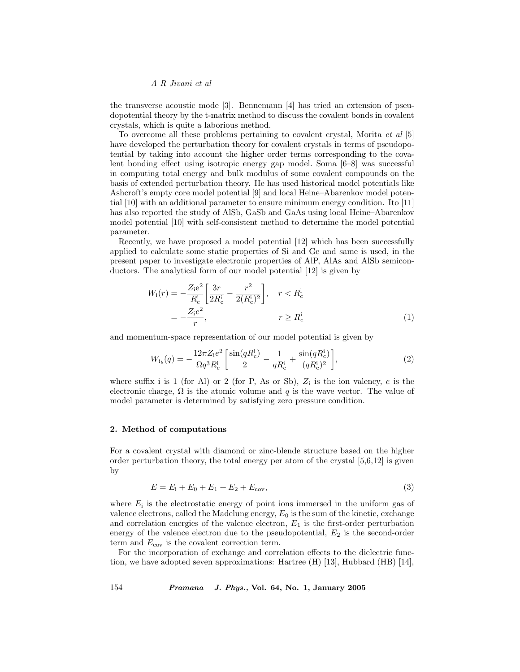## A R Jivani et al

the transverse acoustic mode [3]. Bennemann [4] has tried an extension of pseudopotential theory by the t-matrix method to discuss the covalent bonds in covalent crystals, which is quite a laborious method.

To overcome all these problems pertaining to covalent crystal, Morita et al [5] have developed the perturbation theory for covalent crystals in terms of pseudopotential by taking into account the higher order terms corresponding to the covalent bonding effect using isotropic energy gap model. Soma [6–8] was successful in computing total energy and bulk modulus of some covalent compounds on the basis of extended perturbation theory. He has used historical model potentials like Ashcroft's empty core model potential [9] and local Heine–Abarenkov model potential [10] with an additional parameter to ensure minimum energy condition. Ito [11] has also reported the study of AlSb, GaSb and GaAs using local Heine–Abarenkov model potential [10] with self-consistent method to determine the model potential parameter.

Recently, we have proposed a model potential [12] which has been successfully applied to calculate some static properties of Si and Ge and same is used, in the present paper to investigate electronic properties of AlP, AlAs and AlSb semiconductors. The analytical form of our model potential [12] is given by

$$
W_{i}(r) = -\frac{Z_{i}e^{2}}{R_{c}^{i}} \left[ \frac{3r}{2R_{c}^{i}} - \frac{r^{2}}{2(R_{c}^{i})^{2}} \right], \quad r < R_{c}^{i}
$$

$$
= -\frac{Z_{i}e^{2}}{r}, \qquad r \geq R_{c}^{i}
$$
(1)

and momentum-space representation of our model potential is given by

$$
W_{i_b}(q) = -\frac{12\pi Z_i e^2}{\Omega q^3 R_c^i} \left[ \frac{\sin(qR_c^i)}{2} - \frac{1}{qR_c^i} + \frac{\sin(qR_c^i)}{(qR_c^i)^2} \right],\tag{2}
$$

where suffix i is 1 (for Al) or 2 (for P, As or Sb),  $Z_i$  is the ion valency, e is the electronic charge,  $\Omega$  is the atomic volume and q is the wave vector. The value of model parameter is determined by satisfying zero pressure condition.

#### 2. Method of computations

For a covalent crystal with diamond or zinc-blende structure based on the higher order perturbation theory, the total energy per atom of the crystal  $[5,6,12]$  is given by

$$
E = E_{\rm i} + E_0 + E_1 + E_2 + E_{\rm cov},\tag{3}
$$

where  $E_i$  is the electrostatic energy of point ions immersed in the uniform gas of valence electrons, called the Madelung energy,  $E_0$  is the sum of the kinetic, exchange and correlation energies of the valence electron,  $E_1$  is the first-order perturbation energy of the valence electron due to the pseudopotential,  $E_2$  is the second-order term and  $E_{\text{cov}}$  is the covalent correction term.

For the incorporation of exchange and correlation effects to the dielectric function, we have adopted seven approximations: Hartree (H) [13], Hubbard (HB) [14],

154 Pramana – J. Phys., Vol. 64, No. 1, January 2005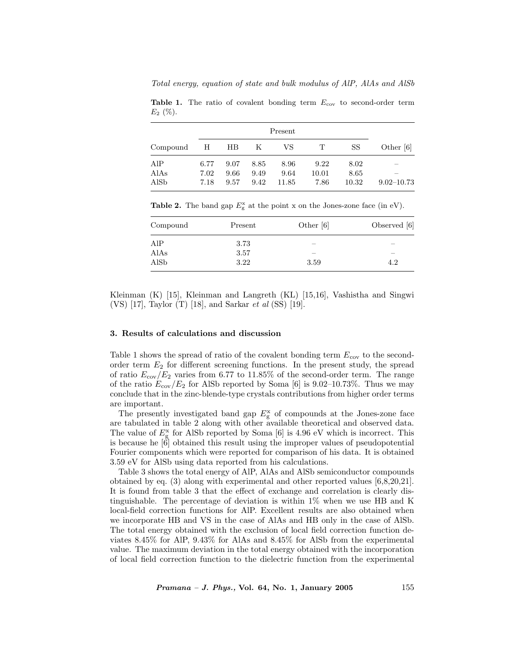Total energy, equation of state and bulk modulus of AlP, AlAs and AlSb

Table 1. The ratio of covalent bonding term  $E_{\text{cov}}$  to second-order term  $E_2$  (%).

| Compound     | Н            | HB.          | $\mathbf K$  | VS.           | $\mathbf T$   | SS            | Other [6]      |
|--------------|--------------|--------------|--------------|---------------|---------------|---------------|----------------|
| AIP          | 6.77         | 9.07         | 8.85         | 8.96          | 9.22          | 8.02          |                |
| AlAs<br>AlSb | 7.02<br>7.18 | 9.66<br>9.57 | 9.49<br>9.42 | 9.64<br>11.85 | 10.01<br>7.86 | 8.65<br>10.32 | $9.02 - 10.73$ |

Table 2. The band gap  $E_{\rm g}^{\rm x}$  at the point x on the Jones-zone face (in eV).

| Compound | Present | Other $[6]$ | Observed $[6]$ |
|----------|---------|-------------|----------------|
| AlP      | 3.73    | -           |                |
| AlAs     | 3.57    | -           |                |
| AlSb     | 3.22    | 3.59        | 4.2            |

Kleinman (K) [15], Kleinman and Langreth (KL) [15,16], Vashistha and Singwi (VS) [17], Taylor (T) [18], and Sarkar et al (SS) [19].

### 3. Results of calculations and discussion

Table 1 shows the spread of ratio of the covalent bonding term  $E_{\rm cov}$  to the secondorder term  $E_2$  for different screening functions. In the present study, the spread of ratio  $E_{\rm cov}/E_2$  varies from 6.77 to 11.85% of the second-order term. The range of the ratio  $E_{\rm cov}/E_2$  for AlSb reported by Soma [6] is 9.02–10.73%. Thus we may conclude that in the zinc-blende-type crystals contributions from higher order terms are important.

The presently investigated band gap  $E_{\rm g}^{\rm x}$  of compounds at the Jones-zone face are tabulated in table 2 along with other available theoretical and observed data. The value of  $E_{\rm g}^{\rm x}$  for AlSb reported by Soma [6] is 4.96 eV which is incorrect. This is because he  $\left|\hat{6}\right|$  obtained this result using the improper values of pseudopotential Fourier components which were reported for comparison of his data. It is obtained 3.59 eV for AlSb using data reported from his calculations.

Table 3 shows the total energy of AlP, AlAs and AlSb semiconductor compounds obtained by eq. (3) along with experimental and other reported values [6,8,20,21]. It is found from table 3 that the effect of exchange and correlation is clearly distinguishable. The percentage of deviation is within 1% when we use HB and K local-field correction functions for AlP. Excellent results are also obtained when we incorporate HB and VS in the case of AlAs and HB only in the case of AlSb. The total energy obtained with the exclusion of local field correction function deviates 8.45% for AlP, 9.43% for AlAs and 8.45% for AlSb from the experimental value. The maximum deviation in the total energy obtained with the incorporation of local field correction function to the dielectric function from the experimental

 $Pramana - J. Phys., Vol. 64, No. 1, January 2005$  155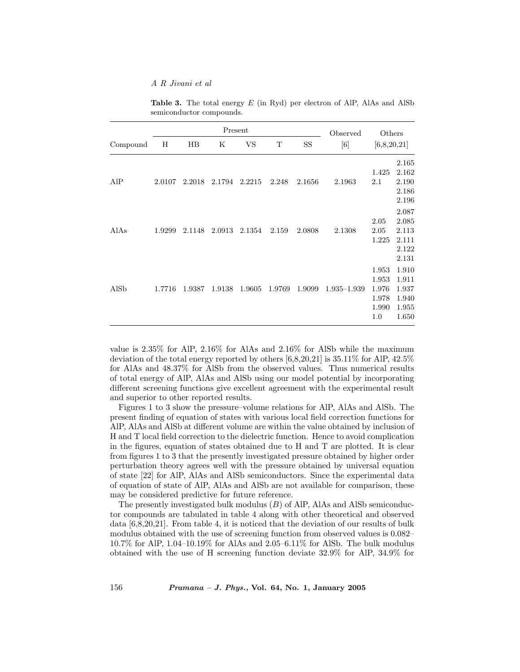A R Jivani et al

|          |        |             | Present | Observed | Others |           |                 |                                                  |                                                             |
|----------|--------|-------------|---------|----------|--------|-----------|-----------------|--------------------------------------------------|-------------------------------------------------------------|
| Compound | Η      | $_{\rm HB}$ | Κ       | VS       | T      | <b>SS</b> | [6]             | [6,8,20,21]                                      |                                                             |
| AlP      | 2.0107 | 2.2018      | 2.1794  | 2.2215   | 2.248  | 2.1656    | 2.1963          | 1.425<br>$2.1\,$                                 | 2.165<br>2.162<br>2.190<br>2.186<br>2.196                   |
| AlAs     | 1.9299 | 2.1148      | 2.0913  | 2.1354   | 2.159  | 2.0808    | 2.1308          | 2.05<br>2.05<br>1.225                            | 2.087<br>2.085<br>2.113<br>2.111<br>2.122                   |
| AlSb     | 1.7716 | 1.9387      | 1.9138  | 1.9605   | 1.9769 | 1.9099    | $1.935 - 1.939$ | 1.953<br>1.953<br>1.976<br>1.978<br>1.990<br>1.0 | 2.131<br>1.910<br>1.911<br>1.937<br>1.940<br>1.955<br>1.650 |

Table 3. The total energy  $E$  (in Ryd) per electron of AlP, AlAs and AlSb semiconductor compounds.

value is 2.35% for AlP, 2.16% for AlAs and 2.16% for AlSb while the maximum deviation of the total energy reported by others [6,8,20,21] is 35.11% for AlP, 42.5% for AlAs and 48.37% for AlSb from the observed values. Thus numerical results of total energy of AlP, AlAs and AlSb using our model potential by incorporating different screening functions give excellent agreement with the experimental result and superior to other reported results.

Figures 1 to 3 show the pressure–volume relations for AlP, AlAs and AlSb. The present finding of equation of states with various local field correction functions for AlP, AlAs and AlSb at different volume are within the value obtained by inclusion of H and T local field correction to the dielectric function. Hence to avoid complication in the figures, equation of states obtained due to H and T are plotted. It is clear from figures 1 to 3 that the presently investigated pressure obtained by higher order perturbation theory agrees well with the pressure obtained by universal equation of state [22] for AlP, AlAs and AlSb semiconductors. Since the experimental data of equation of state of AlP, AlAs and AlSb are not available for comparison, these may be considered predictive for future reference.

The presently investigated bulk modulus  $(B)$  of AlP, AlAs and AlSb semiconductor compounds are tabulated in table 4 along with other theoretical and observed data [6,8,20,21]. From table 4, it is noticed that the deviation of our results of bulk modulus obtained with the use of screening function from observed values is 0.082– 10.7% for AlP, 1.04–10.19% for AlAs and 2.05–6.11% for AlSb. The bulk modulus obtained with the use of H screening function deviate 32.9% for AlP, 34.9% for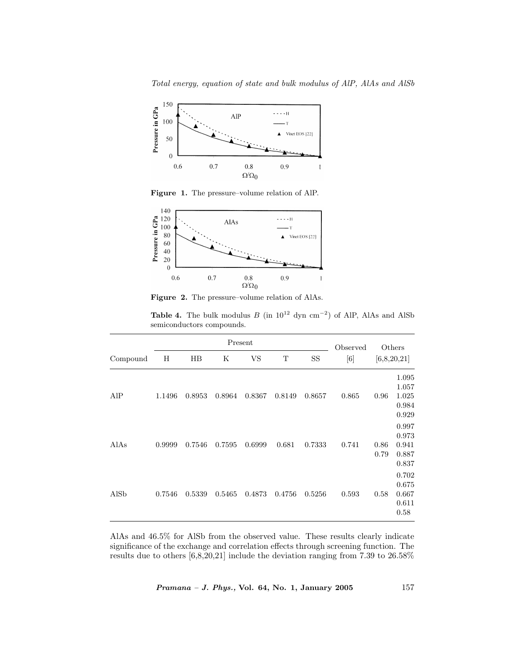

Figure 1. The pressure–volume relation of AlP.



Figure 2. The pressure–volume relation of AlAs.

| <b>Table 4.</b> The bulk modulus B (in $10^{12}$ dyn cm <sup>-2</sup> ) of AlP, AlAs and AlSb |  |  |  |  |  |
|-----------------------------------------------------------------------------------------------|--|--|--|--|--|
| semiconductors compounds.                                                                     |  |  |  |  |  |

|          |        |        | Observed | Others |        |           |       |              |                                           |
|----------|--------|--------|----------|--------|--------|-----------|-------|--------------|-------------------------------------------|
| Compound | Η      | HВ     | Κ        | VS     | T      | <b>SS</b> | [6]   |              | [6,8,20,21]                               |
| AlP      | 1.1496 | 0.8953 | 0.8964   | 0.8367 | 0.8149 | 0.8657    | 0.865 | 0.96         | 1.095<br>1.057<br>1.025<br>0.984<br>0.929 |
| AlAs     | 0.9999 | 0.7546 | 0.7595   | 0.6999 | 0.681  | 0.7333    | 0.741 | 0.86<br>0.79 | 0.997<br>0.973<br>0.941<br>0.887<br>0.837 |
| AlSb     | 0.7546 | 0.5339 | 0.5465   | 0.4873 | 0.4756 | 0.5256    | 0.593 | 0.58         | 0.702<br>0.675<br>0.667<br>0.611<br>0.58  |

AlAs and 46.5% for AlSb from the observed value. These results clearly indicate significance of the exchange and correlation effects through screening function. The results due to others [6,8,20,21] include the deviation ranging from 7.39 to 26.58%

Pramana – J. Phys., Vol. 64, No. 1, January 2005 157